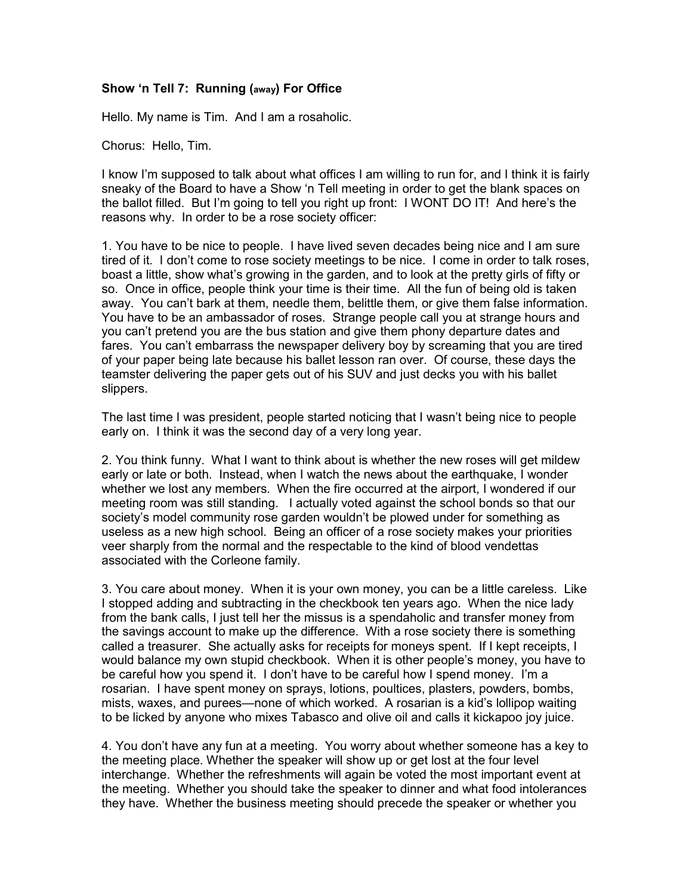## Show 'n Tell 7: Running (away) For Office

Hello. My name is Tim. And I am a rosaholic.

Chorus: Hello, Tim.

I know I'm supposed to talk about what offices I am willing to run for, and I think it is fairly sneaky of the Board to have a Show 'n Tell meeting in order to get the blank spaces on the ballot filled. But I'm going to tell you right up front: I WONT DO IT! And here's the reasons why. In order to be a rose society officer:

1. You have to be nice to people. I have lived seven decades being nice and I am sure tired of it. I don't come to rose society meetings to be nice. I come in order to talk roses, boast a little, show what's growing in the garden, and to look at the pretty girls of fifty or so. Once in office, people think your time is their time. All the fun of being old is taken away. You can't bark at them, needle them, belittle them, or give them false information. You have to be an ambassador of roses. Strange people call you at strange hours and you can't pretend you are the bus station and give them phony departure dates and fares. You can't embarrass the newspaper delivery boy by screaming that you are tired of your paper being late because his ballet lesson ran over. Of course, these days the teamster delivering the paper gets out of his SUV and just decks you with his ballet slippers.

The last time I was president, people started noticing that I wasn't being nice to people early on. I think it was the second day of a very long year.

2. You think funny. What I want to think about is whether the new roses will get mildew early or late or both. Instead, when I watch the news about the earthquake, I wonder whether we lost any members. When the fire occurred at the airport, I wondered if our meeting room was still standing. I actually voted against the school bonds so that our society's model community rose garden wouldn't be plowed under for something as useless as a new high school. Being an officer of a rose society makes your priorities veer sharply from the normal and the respectable to the kind of blood vendettas associated with the Corleone family.

3. You care about money. When it is your own money, you can be a little careless. Like I stopped adding and subtracting in the checkbook ten years ago. When the nice lady from the bank calls, I just tell her the missus is a spendaholic and transfer money from the savings account to make up the difference. With a rose society there is something called a treasurer. She actually asks for receipts for moneys spent. If I kept receipts, I would balance my own stupid checkbook. When it is other people's money, you have to be careful how you spend it. I don't have to be careful how I spend money. I'm a rosarian. I have spent money on sprays, lotions, poultices, plasters, powders, bombs, mists, waxes, and purees—none of which worked. A rosarian is a kid's lollipop waiting to be licked by anyone who mixes Tabasco and olive oil and calls it kickapoo joy juice.

4. You don't have any fun at a meeting. You worry about whether someone has a key to the meeting place. Whether the speaker will show up or get lost at the four level interchange. Whether the refreshments will again be voted the most important event at the meeting. Whether you should take the speaker to dinner and what food intolerances they have. Whether the business meeting should precede the speaker or whether you